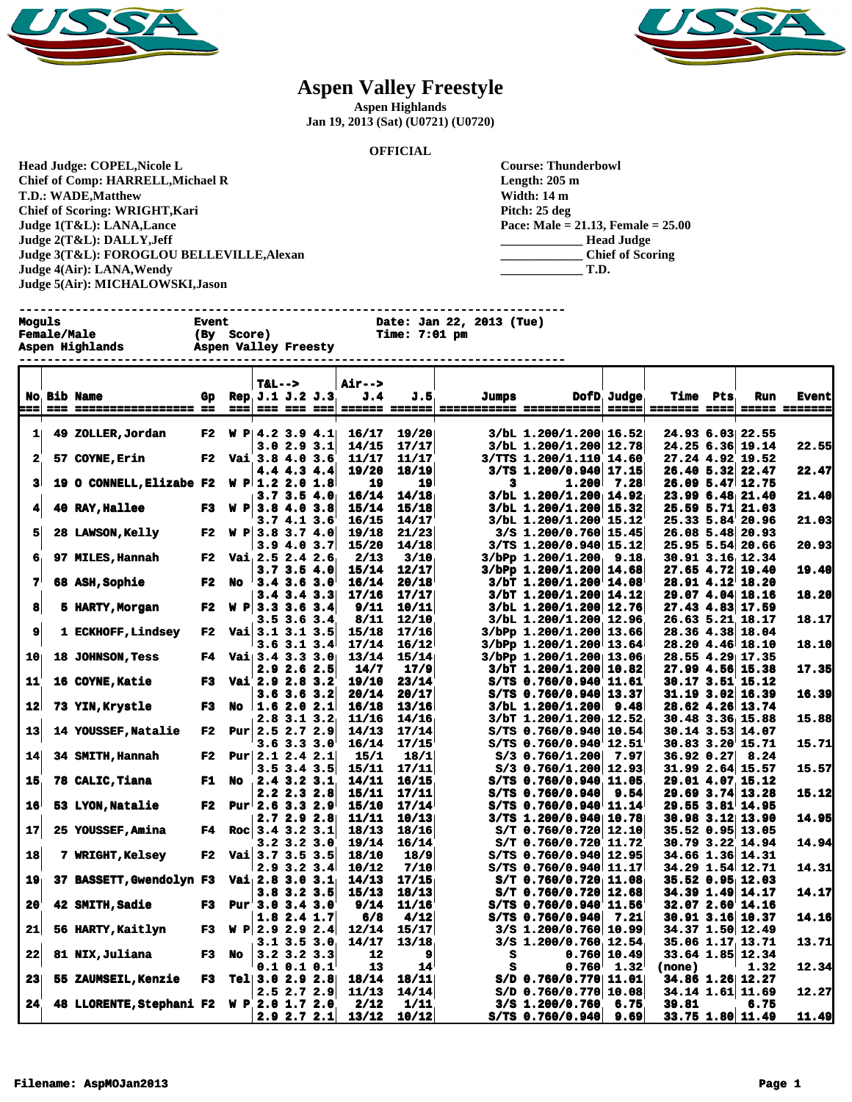



## **Aspen Valley Freestyle**

**Aspen Highlands**

**Jan 19, 2013 (Sat) (U0721) (U0720)**

## **OFFICIAL**

**Head Judge: COPEL,Nicole L Chief of Comp: HARRELL,Michael R T.D.: WADE,Matthew Chief of Scoring: WRIGHT,Kari Judge 1(T&L): LANA,Lance Judge 2(T&L): DALLY,Jeff Judge 3(T&L): FOROGLOU BELLEVILLE,Alexan Judge 4(Air): LANA,Wendy Judge 5(Air): MICHALOWSKI,Jason** 

| <b>Course: Thunderbowl</b>              |
|-----------------------------------------|
| Length: 205 m                           |
| Width: 14 m                             |
| Pitch: 25 deg                           |
| Pace: Male = $21.13$ , Female = $25.00$ |
| <b>Head Judge</b>                       |
| <b>Chief of Scoring</b>                 |
| T.D.                                    |

**------------------------------------------------------------------------------ Moguls Event Date: Jan 22, 2013 (Tue)**

| moguis<br><b>Female/Male</b><br>Aspen Highlands | вуецс<br>(By<br><b>Score)</b><br>Aspen Valley Freesty | Date: Jan 22, 2013 (Tue)<br><b>Time: 7:01 pm</b> |
|-------------------------------------------------|-------------------------------------------------------|--------------------------------------------------|
|                                                 |                                                       |                                                  |

|                 |                                          |            |      | $T&L-->$                  |                   | <b>Air--&gt;</b> |                |                         |                                                           |                |                 |                                              |               |
|-----------------|------------------------------------------|------------|------|---------------------------|-------------------|------------------|----------------|-------------------------|-----------------------------------------------------------|----------------|-----------------|----------------------------------------------|---------------|
|                 | <b>No Bib Name</b>                       | Gp         |      | Rep. J.1 J.2 J.3          |                   | J.4              | J.5            | Jumps                   |                                                           | DofD Judge     | <b>Time</b> Pts | Run                                          | <b>Event</b>  |
| ===             |                                          |            | $==$ |                           |                   | ====== ======    |                | =========== =========== |                                                           |                |                 |                                              | ===== ======= |
|                 |                                          |            |      |                           |                   |                  |                |                         |                                                           |                |                 |                                              |               |
| $1\vert$        | 49 ZOLLER, Jordan                        | F2         |      | W P   4.2 3.9 4.1         |                   | 16/17            | 19/20          |                         | 3/bL 1.200/1.200 16.52                                    |                |                 | 24.93 6.03 22.55                             |               |
|                 |                                          |            |      |                           | 3.0 2.9 3.1       | 14/15            | 17/17          |                         | 3/bL 1.200/1.200 12.78                                    |                |                 | 24.25 6.36 19.14                             | 22.55         |
| $\mathbf{2}$    | 57 COYNE, Erin                           | F2         |      | Vai 3.8 4.0 3.6           |                   | 11/17            | 11/17          |                         | 3/TTS 1.200/1.110 14.60                                   |                |                 | 27.24 4.92 19.52                             |               |
|                 |                                          |            |      |                           | 4.4 4.3 4.4       | 19/20            | 18/19          |                         | $3/TS$ 1.200/0.940 17.15                                  |                |                 | $26.40$ 5.32 22.47                           | 22.47         |
| 31              | 19 O CONNELL, Elizabe F2                 |            |      | $W \text{ P} 1.2 2.0 1.8$ |                   | 19               | 19             | 3                       | 1.200                                                     | 7.28           |                 | $26.09$ 5.47 12.75                           |               |
|                 |                                          |            |      |                           | 3.73.54.0         | 16/14            | 14/18          |                         | 3/bL 1.200/1.200 14.92                                    |                |                 | 23.99 6.48 21.40                             | 21.40         |
| 4               | 40 RAY, Hallee                           | F3 -       |      | $W \text{ P} 3.8 4.0 3.8$ |                   | 15/14            | 15/18          |                         | 3/bL 1.200/1.200 15.32                                    |                | $25.59$ $5.71$  | 21.03                                        |               |
|                 |                                          |            |      |                           | 3.7 4.1 3.6       | 16/15            | 14/17          |                         | 3/bL 1.200/1.200 15.12                                    |                |                 | 25.33 5.84 20.96                             | 21.03         |
| 5               | <b>28 LAWSON, Kelly</b>                  | F2 -       |      | W P 3.8 3.7 4.0           |                   | 19/18            | 21/23          |                         | $3/S$ 1.200/0.760 15.45                                   |                |                 | 26.08 5.48 20.93                             |               |
| 6               |                                          | F2         |      |                           | 3.94.03.7         | 15/20            | 14/18          |                         | $3/TS$ 1.200/0.940 15.12                                  |                |                 | 25.95 5.54 20.66                             | 20.93         |
|                 | 97 MILES, Hannah                         |            |      | Vai $2.5$ $2.4$ $2.6$     | 3.7 3.5 4.0       | 2/13<br>15/14    | 3/10<br>12/17  |                         | $3/b$ Pp 1.200/1.200 9.18<br>$3/b$ Pp $1.200/1.200$ 14.68 |                |                 | $30.91$ $3.16$ $12.34$<br>$27.65$ 4.72 19.40 | 19.40         |
| 7'              | <b>68 ASH, Sophie</b>                    | F2         | No   | $3.4$ $3.6$ $3.0$         |                   | 16/14            | 20/18          |                         | $3/bT$ 1.200/1.200 14.08                                  |                |                 | 28.91 4.12 18.20                             |               |
|                 |                                          |            |      |                           | $3.4$ $3.4$ $3.3$ | 17/16            | 17/17          |                         | $3/bT$ 1.200/1.200 14.12                                  |                |                 | 29.07 4.04 18.16                             | 18.20         |
| 8               | 5 HARTY, Morgan                          | F2         |      | $W \text{ P} 3.3 3.6 3.4$ |                   | 9/11             | 10/11          |                         | 3/bL 1.200/1.200 12.76                                    |                |                 | 27.43 4.83 17.59                             |               |
|                 |                                          |            |      |                           | 3.5 3.6 3.4       | 8/11             | 12/10          |                         | 3/bL 1.200/1.200 12.96                                    |                |                 | 26.63 5.21 18.17                             | 18.17         |
| 9               | 1 ECKHOFF, Lindsey                       | F2         |      | Vai $3.1$ 3.1 3.5         |                   | 15/18            | 17/16          |                         | $3/b$ Pp $1.200/1.200/13.66$                              |                |                 | 28.36 4.38 18.04                             |               |
|                 |                                          |            |      |                           | $3.6$ $3.1$ $3.4$ | 17/14            | 16/12          |                         | 3/bPp 1.200/1.200 13.64                                   |                |                 | 28.20 4.46 18.10                             | 18.10         |
| 10 <sub>1</sub> | 18 JOHNSON, Tess                         | F4.        |      | Vai $3.4$ 3.3 3.0         |                   | 13/14            | 15/14          |                         | 3/bPp 1.200/1.200 13.06                                   |                |                 | 28.55 4.29 17.35                             |               |
|                 |                                          |            |      |                           | 2.9 2.6 2.5       | 14/7             | 17/9           |                         | $3/bT$ 1.200/1.200 10.82                                  |                |                 | 27.99 4.56 15.38                             | 17.35         |
| 11              | 16 COYNE, Katie                          | F3.        |      | Vai 2.9 2.8 3.2           |                   | 19/10            | 23/14          |                         | S/TS 0.760/0.940 11.61                                    |                |                 | 30.17 3.51 15.12                             |               |
|                 |                                          |            |      |                           | 3.6 3.6 3.2       | 20/14            | 20/17          |                         | $S/TS$ 0.760/0.940 13.37                                  |                |                 | $31.19$ $3.02$ 16.39                         | 16.39         |
| 12              | 73 YIN, Krystle                          | F3         | No   | 1.62.02.1                 |                   | 16/18            | 13/16          |                         | 3/bL 1.200/1.200                                          | 9.48           |                 | 28.62 4.26 13.74                             |               |
|                 |                                          |            |      | $2.8$ 3.1 3.2             |                   | 11/16            | 14/16          |                         | 3/bT 1.200/1.200 12.52                                    |                |                 | 30.48 3.36 15.88                             | 15.88         |
| 13              | <b>14 YOUSSEF, Natalie</b>               | ${\bf F2}$ |      | Pur $2.5$ 2.7 2.9         |                   | 14/13            | 17/14          |                         | $S/TS$ 0.760/0.940 10.54                                  |                |                 | 30.14 3.53 14.07                             |               |
|                 |                                          |            |      |                           | 3.6 3.3 3.0       | 16/14            | 17/15          |                         | S/TS 0.760/0.940 12.51                                    |                |                 | 30.83 3.20 15.71                             | 15.71         |
| 14              | 34 SMITH, Hannah                         | F2         |      | Pur $2.1$ 2.4 2.1         |                   | 15/1             | 18/1           |                         | $S/3$ 0.760/1.200                                         | 7.97           | 36.92 0.27      | 8.24                                         |               |
|                 |                                          |            |      |                           | $3.5$ $3.4$ $3.5$ | 15/11            | 17/11          |                         | $S/3$ 0.760/1.200 12.93                                   |                |                 | $31.99$ 2.64 15.57                           | 15.57         |
| 15              | 78 CALIC, Tiana                          | F1 No      |      | 2.4 3.2 3.1               |                   | 14/11            | 16/15          |                         | $S/TS$ 0.760/0.940 11.05                                  |                |                 | 29.01 4.07 15.12                             |               |
|                 |                                          |            |      |                           | 2.2 2.3 2.8       | 15/11            | 17/11          |                         | S/TS 0.760/0.940                                          | 9.54           |                 | 29.69 3.74 13.28                             | 15.12         |
| 16              | 53 LYON, Natalie                         | F2         |      | Pur $2.6$ 3.3 2.9         |                   | 15/10            | 17/14          |                         | $S/TS$ 0.760/0.940 11.14                                  |                |                 | 29.55 3.81 14.95                             |               |
|                 |                                          |            |      |                           | 2.72.92.8         | 11/11            | 10/13          |                         | 3/TS 1.200/0.940 10.78                                    |                |                 | 30.98 3.12 13.90                             | 14.95         |
| 17              | 25 YOUSSEF, Amina                        | F4         |      | Roc $3.4$ 3.2 3.1         |                   | 18/13            | 18/16          |                         | $S/T$ 0.760/0.720 12.10                                   |                |                 | 35.52 0.95 13.05                             |               |
|                 |                                          |            |      |                           | 3.2 3.2 3.0       | 19/14            | 16/14          |                         | S/T 0.760/0.720 11.72                                     |                |                 | 30.79 3.22 14.94                             | 14.94         |
| 18              | 7 WRIGHT, Kelsey                         |            |      | F2 Vai $3.7$ 3.5 3.5      |                   | 18/10            | 18/9           |                         | $S/TS$ 0.760/0.940 12.95                                  |                |                 | 34.66 1.36 14.31                             |               |
|                 |                                          |            |      | $2.9$ $3.2$ $3.4$         |                   | 10/12            | 7/10           |                         | S/TS 0.760/0.940 11.17                                    |                |                 | 34.29 1.54 12.71                             | 14.31         |
| 19              | 37 BASSETT, Gwendolyn F3                 |            |      | Vai $2.8$ 3.0 3.1         |                   | 14/13            | 17/15          |                         | $S/T$ 0.760/0.720 11.08                                   |                |                 | 35.52 0.95 12.03                             |               |
| 20              | 42 SMITH, Sadie                          | F3         |      | Pur 3.0 3.4 3.0           | 3.8 3.2 3.5       | 15/13<br>9/14    | 18/13<br>11/16 |                         | $S/T$ 0.760/0.720 12.68<br>S/TS 0.760/0.940 11.56         |                |                 | 34.39 1.49 14.17<br>32.07 2.60 14.16         | 14.17         |
|                 |                                          |            |      |                           | 1.8 2.4 1.7       | 6/8              | 4/12           |                         | S/TS 0.760/0.940                                          | 7.21           |                 | 30.91 3.16 10.37                             | 14.16         |
| 21              | 56 HARTY, Kaitlyn                        | F3         |      | W P 2.9 2.9 2.4           |                   | 12/14            | 15/17          |                         | $3/S$ 1.200/0.760 10.99                                   |                |                 | 34.37 1.50 12.49                             |               |
|                 |                                          |            |      |                           | 3.1 3.5 3.0       | 14/17            | 13/18          |                         | 3/8 1.200/0.760 12.54                                     |                |                 | 35.06 1.17 13.71                             | 13.71         |
| 22              | <b>81 NIX, Juliana</b>                   | F3         | No   | $3.2 \, 3.2 \, 3.3$       |                   | 12               | 9              | s                       |                                                           | 0.760 10.49    |                 | 33.64 1.85 12.34                             |               |
|                 |                                          |            |      | $0.1$ $0.1$ $0.1$         |                   | 13               | 14             | s                       | 0.760                                                     | $1.32^{\circ}$ | (none)          | 1.32                                         | 12.34         |
| 23              | <b>55 ZAUMSEIL, Kenzie</b>               | F3.        |      | Tel $3.0$ 2.9 2.8         |                   | 18/14            | 18/11          |                         | $S/D$ 0.760/0.770 11.01                                   |                |                 | 34.86 1.26 12.27                             |               |
|                 |                                          |            |      |                           | 2.5 2.7 2.9       | 11/13            | 14/14          |                         | $S/D$ 0.760/0.770 10.08                                   |                |                 | 34.14 1.61 11.69                             | 12.27         |
| 24.             | 48 LLORENTE, Stephani F2 W P 2.0 1.7 2.0 |            |      |                           |                   | 2/12             | 1/11           |                         | 3/S 1.200/0.760                                           | 6.75           | 39.81           | 6.75                                         |               |
|                 |                                          |            |      |                           | $2.9$ $2.7$ $2.1$ | 13/12            | 10/12          |                         | $S/TS$ 0.760/0.940                                        | 9.69           |                 | 33.75 1.80 11.49                             | 11.49         |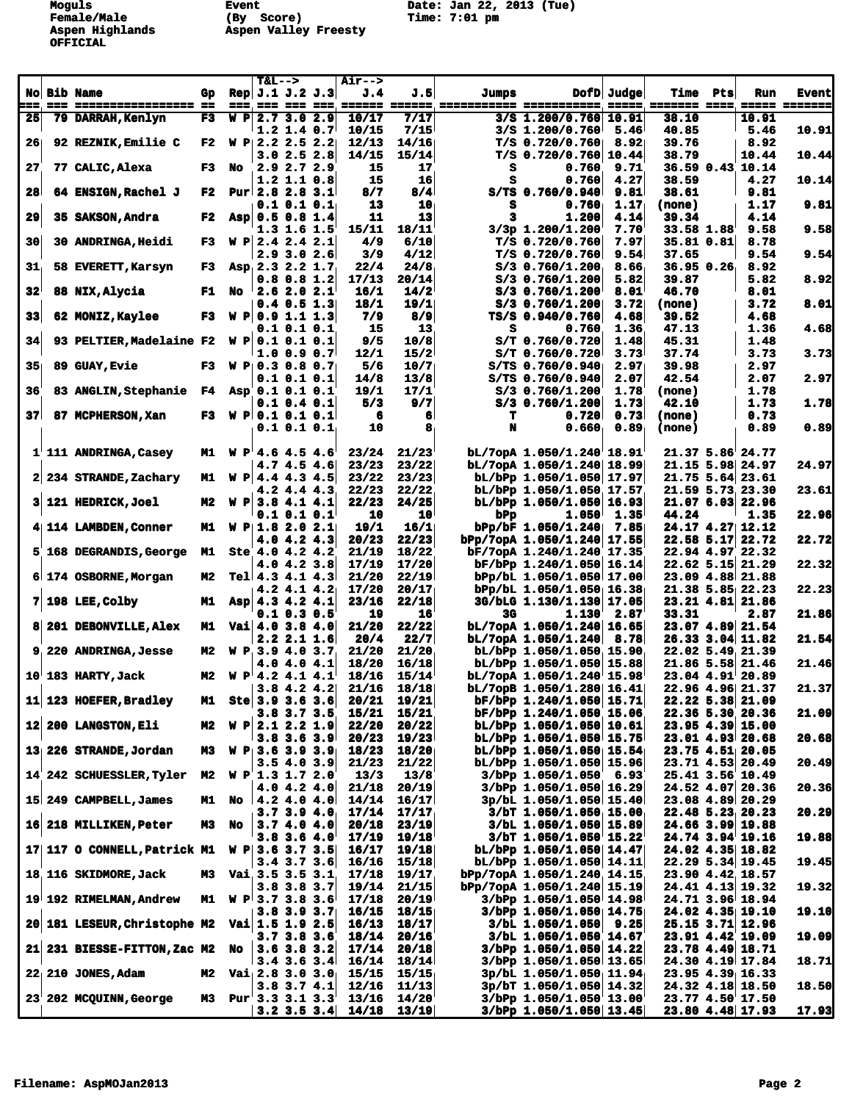**OFFICIAL**

**Female/Male (By Score) Time: 7:01 pm Aspen Highlands Aspen Valley Freesty** 

**Moguls Event Date: Jan 22, 2013 (Tue)**

|                 |                                              |     |                        | $T&L-->$              |                   |                            | <b>Air--&gt;</b> |                 |       |                                                                                                 |            |                 |                      |              |
|-----------------|----------------------------------------------|-----|------------------------|-----------------------|-------------------|----------------------------|------------------|-----------------|-------|-------------------------------------------------------------------------------------------------|------------|-----------------|----------------------|--------------|
|                 | No Bib Name                                  | Gp. |                        |                       |                   | Rep $J.1 J.2 J.3$          | J.4              | J.51            | Jumps |                                                                                                 | DofD Judge | <b>Time Pts</b> | Run                  | <b>Event</b> |
| ===.            | === ================== ==                    |     |                        |                       |                   |                            |                  |                 |       | <u>sos, sos sos sos, cosos socosa, concertare acontecerta, coso, concert com, cosos concert</u> |            |                 |                      |              |
| 25              | 79 DARRAH, Kenlyn                            | F3  | W P                    |                       | 2.7 3.0 2.9       |                            | 10/17            | 7/17            |       | 3/8 1.200/0.760 10.91                                                                           |            | 38.10           | 10.91                |              |
|                 |                                              |     |                        |                       |                   | $1.2$ 1.4 0.7              | 10/15            | 7/15            |       | $3/5$ 1.200/0.760                                                                               | 5.46       | 40.85           | 5.46                 | 10.91        |
| 26              | 92 REZNIK, Emilie C                          |     | F2 W P $2.2$ 2.5 2.2   |                       |                   |                            | 12/13            | 14/16           |       | $T/S$ 0.720/0.760                                                                               | 8.92       | 39.76           | 8.92                 |              |
|                 |                                              |     |                        |                       |                   | 3.02.52.8                  | 14/15            | 15/14           |       | $T/S$ 0.720/0.760 10.44                                                                         |            | 38.79           | 10.44                | 10.44        |
| 27              | 77 CALIC, Alexa                              |     | F3 No                  |                       | $2.9$ $2.7$ $2.9$ |                            | 15               | 17              | s     | 0.760                                                                                           | 9.71       |                 | 36.59 0.43 10.14     |              |
|                 |                                              |     |                        |                       | $1.2$ 1.1 0.8     |                            | 15               | 16              | s     | 0.760                                                                                           | 4.27       | 38.59           | 4.27                 | 10.14        |
| 28 <sup>1</sup> | 64 ENSIGN, Rachel J                          | F2  |                        | Pur $2.82.83.1$       |                   |                            | 8/7              | 8/4             |       | $S/TS$ 0.760/0.940                                                                              | 9.81       | 38.61           | 9.81                 |              |
|                 |                                              |     |                        |                       |                   | $0.1$ 0.1 0.1              | 13               | 10 <sub>1</sub> | s     | 0.760                                                                                           | 1.17       | (none)          | 1.17                 | 9.81         |
| 29              | <b>35 SAKSON, Andra</b>                      | F2  | Asp $0.5$ 0.8 1.4      |                       |                   |                            | 11               | 13              | 3     | 1,200                                                                                           | 4.14       | 39.34           | 4.14                 |              |
|                 |                                              |     |                        |                       | $1.3$ 1.6 1.5     |                            | 15/11            | 18/11           |       | 3/3p 1.200/1.200                                                                                | 7.70       | 33.58 1.88      | 9.58                 | 9.58         |
| 30 <sub>l</sub> | <b>30 ANDRINGA, Heidi</b>                    | F3  | W P 2.4 2.4 2.1        |                       |                   |                            | 4/9              | 6/10            |       | $T/S$ 0.720/0.760                                                                               | 7.97       | 35.81 0.81      | 8.78                 |              |
|                 |                                              |     |                        |                       |                   | $2.9$ 3.0 $2.6$            | 3/9              | 4/12            |       | T/S 0.720/0.760                                                                                 | 9.54       | 37.65           | 9.54                 | 9.54         |
| 31 <sub>1</sub> | 58 EVERETT, Karsyn                           | F3  | Asp. 2.3 2.2 1.7       |                       |                   |                            | 22/4             | 24/8            |       | S/3 0.760/1.200                                                                                 | 8.66       | 36.950.26       | 8.92                 |              |
|                 |                                              |     |                        |                       | $0.8$ $0.8$ 1.2   |                            | 17/13            | 20/14           |       | 8/3 0.760/1.200                                                                                 | 5.82       | 39.87           | 5.82                 | 8.92         |
| $32^{\circ}$    | 88 NIX, Alycia                               | F1  | No                     |                       | 2.62.02.1         |                            | 16/1             | 14/2            |       | $S/3$ 0.760/1.200                                                                               | 8.01       | 46.70           | 8.01                 |              |
|                 |                                              |     |                        |                       |                   | $0.4$ 0.5 1.3              | 18/1             | 19/1            |       | $S/3$ 0.760/1.200                                                                               | 3.72       | (none)          | 3.72                 | 8.01         |
| 33              | 62 MONIZ, Kaylee                             | F3  |                        | $W$ P 0.9 1.1 1.3     |                   |                            | 7/9              | 8/9             |       | TS/S 0.940/0.760                                                                                | 4.68       | 39.52           | 4.68                 |              |
|                 |                                              |     |                        |                       | $0.1$ $0.1$ $0.1$ |                            | 15               | 13              | s     | 0.760                                                                                           | 1.36       | 47.13           | 1.36                 | 4.68         |
| 34              | 93 PELTIER, Madelaine F2                     |     | $W$ P 0.1 0.1 0.1      |                       |                   |                            | 9/5              | 10/8            |       | $S/T$ 0.760/0.720                                                                               | 1.48       | 45.31           | 1.48                 |              |
|                 |                                              |     |                        |                       |                   | $1.0$ 0.9 0.7              | 12/1             | 15/2            |       | $S/T$ 0.760/0.720                                                                               | 3.73       | 37.74           | 3.73                 | 3.73         |
| 35 <sub>1</sub> | <b>89 GUAY, Evie</b>                         | F3  | <b>W P 0.3 0.8 0.7</b> |                       |                   |                            | 5/6              | 10/7            |       | $S/TS$ 0.760/0.940                                                                              | 2.97       | 39.98           | 2.97                 |              |
|                 |                                              |     |                        |                       | $0.1$ $0.1$ $0.1$ |                            | 14/8             | 13/8            |       | S/TS 0.760/0.940                                                                                | 2.07       | 42.54           | 2.07                 | 2.97         |
| 36              | 83 ANGLIN, Stephanie F4                      |     | Asp 0.1 0.1 0.1        |                       |                   |                            | 19/1             | 17/1            |       | 8/3 0.760/1.200                                                                                 | 1.78       | (none)          | 1.78                 |              |
|                 |                                              |     |                        |                       | $0.1$ 0.4 0.1     |                            | 5/3              | 9/7             |       | $S/3$ 0.760/1.200                                                                               | 1.73       | 42.10           | 1.73                 | 1.78         |
| 37 <sup>1</sup> | 87 MCPHERSON, Xan                            | F3  | $W$ P 0.1 0.1 0.1      |                       |                   |                            | 6                | 6               | т     | 0.720                                                                                           | 0.73       | (none)          | 0.73                 |              |
|                 |                                              |     |                        |                       | $0.1$ $0.1$ $0.1$ |                            | 10               | 8               | N     | 0.660                                                                                           | 0.89       | (none)          | 0.89                 | 0.89         |
|                 | 1 111 ANDRINGA, Casey                        |     | M1 W P 4.6 4.5 4.6     |                       |                   |                            | 23/24            | 21/23           |       | bL/7opA 1.050/1.240 18.91                                                                       |            |                 | 21.37 5.86 24.77     |              |
|                 |                                              |     |                        |                       |                   | 4.74.54.6                  | 23/23            | 23/22           |       | bL/7opA 1.050/1.240 18.99                                                                       |            |                 | $21.15$ 5.98 24.97   | 24.97        |
|                 | 2 234 STRANDE, Zachary                       | M1  | $W$ P 4.4 4.3 4.5      |                       |                   |                            | 23/22            | 23/23           |       | bL/bPp 1.050/1.050  17.97                                                                       |            |                 | $21.75$ 5.64 23.61   |              |
|                 |                                              |     |                        |                       |                   | $4.2$ 4.4 4.3              | 22/23            | 22/22           |       | bL/bPp 1.050/1.050 17.57                                                                        |            |                 | 21.59 5.73 23.30     | 23.61        |
|                 | 3 121 HEDRICK, Joel                          | M2  | W P                    |                       | 3.84.14.1         |                            | 22/23            | 24/25           |       | bL/bPp 1.050/1.050  16.93                                                                       |            |                 | 21.07 6.03 22.96     |              |
|                 |                                              |     |                        |                       | $0.1$ $0.1$ $0.1$ |                            | 10               | 10              | bPp   | $1.050^{\dagger}$                                                                               | 1.35       | 44.24           | 1.35                 | 22.96        |
|                 | 4 114 LAMBDEN, Conner                        |     | M1 $W$ P  1.8 2.0 2.1  |                       |                   |                            | 19/1             | 16/1            |       | bPp/bF 1.050/1.240                                                                              | 7.85       |                 | 24.17 4.27 12.12     |              |
|                 |                                              |     |                        |                       | 4.04.24.3         |                            | 20/23            | 22/23           |       | bPp/7opA 1.050/1.240 17.55                                                                      |            |                 | 22.58 5.17 22.72     | 22.72        |
|                 | 5 168 DEGRANDIS, George                      | M1  |                        | Ste $4.0$ $4.2$ $4.2$ |                   |                            | 21/19            | 18/22           |       | bF/7opA 1.240/1.240 17.35                                                                       |            |                 | 22.94 4.97 22.32     |              |
|                 |                                              |     |                        |                       |                   | $4.0$ $4.2$ $3.8$          | 17/19            | 17/20           |       | bF/bPp 1.240/1.050  16.14                                                                       |            |                 | 22.62 5.15 21.29     | 22.32        |
|                 | 6 174 OSBORNE, Morgan                        | M2  |                        |                       |                   | Tel $4.3$ $4.1$ $4.3$      | 21/20            | 22/19           |       | bPp/bL 1.050/1.050 17.00                                                                        |            |                 | 23.09 4.88 21.88     |              |
|                 |                                              |     |                        |                       |                   | $4.2$ 4.1 4.2              | 17/20            | 20/17           |       | $bPp/bL$ 1.050/1.050 16.38                                                                      |            |                 | $21.38$ 5.85 $22.23$ | 22.23        |
|                 | $7 198$ LEE, Colby                           | M1  |                        | Asp 4.3 4.2 4.1       |                   |                            | 23/16            | 22/18           |       | 3G/bLG 1.130/1.130 17.05                                                                        |            |                 | 23.21 4.81 21.86     |              |
|                 |                                              |     |                        |                       |                   | $0.1$ $0.3$ $0.5$          | 19               | 16              | 3G    | 1,130                                                                                           | 2.87       | 33.31           | 2.87                 | 21.86        |
|                 | 8 201 DEBONVILLE, Alex                       | M1  | Vai $4.0$ 3.8 $4.0$    |                       |                   |                            | 21/20            | 22/22           |       | $bL/7$ opA 1.050/1.240 16.65                                                                    |            |                 | 23.07 4.89 21.54     |              |
|                 |                                              |     |                        |                       |                   | $2.2$ $2.1$ $1.6$          | 20/4             | 22/7            |       | $bL/7$ opA 1.050/1.240 8.78                                                                     |            |                 | 26.33 3.04 11.82     | 21.54        |
|                 | 9 220 ANDRINGA, Jesse                        | M2  | W P 3.9 4.0 3.7        |                       |                   |                            | 21/20            | 21/20           |       | $bL/bPp 1.050/1.050$ , 15.90                                                                    |            |                 | $22.02$ 5.49 $21.39$ |              |
|                 |                                              |     |                        |                       | 4.0 4.0 4.1       |                            | 18/20            | 16/18           |       | bL/bPp 1.050/1.050 15.88                                                                        |            |                 | 21.86 5.58 21.46     | 21.46        |
|                 | $10^{\circ}$ 183 HARTY, Jack                 | M2  | W P 4.2 4.1 4.1        |                       |                   |                            | 18/16            | 15/14           |       | $bL/7$ opA 1.050/1.240 15.98                                                                    |            |                 | 23.04 4.91 20.89     |              |
|                 |                                              |     |                        |                       |                   | 3.84.24.2                  | 21/16            | 18/18           |       | bL/7opB 1.050/1.280 16.41                                                                       |            |                 | 22.96 4.96 21.37     | 21.37        |
|                 | 11 123 HOEFER, Bradley                       | M1. |                        |                       |                   | Ste $3.9$ 3.6 3.6          | 20/21            | 19/21           |       | bF/bPp 1.240/1.050 15.71                                                                        |            |                 | 22.22 5.38 21.09     |              |
|                 |                                              |     |                        |                       |                   | $3.8$ $3.7$ $3.5$          | 15/21            | 15/21           |       | bF/bPp 1.240/1.050 15.06                                                                        |            |                 | 22.36 5.30 20.36     | 21.09        |
|                 | 12 200 LANGSTON, Eli                         |     | M2 W P $2.1 2.2 1.9$   |                       |                   |                            | 22/20            | 20/22           |       | bL/bPp 1.050/1.050 10.61                                                                        |            |                 | $23.95$ 4.39 15.00   |              |
|                 |                                              |     |                        |                       |                   | $3.8$ 3.6 3.9              | 20/23            | 19/23           |       | bL/bPp 1.050/1.050 15.75                                                                        |            |                 | 23.01 4.93 20.68     | 20.68        |
|                 | 13 226 STRANDE, Jordan                       | M3  |                        |                       |                   | W P 3.6 3.9 3.9            | 18/23            | 18/20           |       | bL/bPp 1.050/1.050 15.54                                                                        |            |                 | 23.75 4.51 20.05     |              |
|                 |                                              |     |                        |                       |                   | $3.5$ 4.0 3.9              | 21/23            | 21/22           |       | bL/bPp 1.050/1.050 15.96                                                                        |            |                 | 23.71 4.53 20.49     | 20.49        |
|                 | 14 242 SCHUESSLER, Tyler                     | M2  | W P 1.3 1.7 2.0        |                       |                   |                            | 13/3             | 13/8            |       | 3/bPp 1.050/1.050 6.93                                                                          |            |                 | 25.41 3.56 10.49     |              |
|                 |                                              |     |                        |                       |                   | $4.0$ $4.2$ $4.0$          | 21/18            | 20/19           |       | 3/bPp 1.050/1.050  16.29                                                                        |            |                 | 24.52 4.07 20.36     | 20.36        |
|                 | 15 249 CAMPBELL, James                       |     | M1 No $ 4.2 4.0 4.0 $  |                       |                   |                            | 14/14            | 16/17           |       | 3p/bL 1.050/1.050 15.40                                                                         |            |                 | 23.08 4.89 20.29     |              |
|                 |                                              |     |                        |                       |                   | 3.73.94.0                  | 17/14            | 17/17           |       | $3/bT$ 1.050/1.050 15.00                                                                        |            |                 | $22.48$ 5.23 20.23   | 20.29        |
|                 | 16 218 MILLIKEN, Peter                       | M3  | <b>No</b>              |                       |                   | 3.74.04.0                  | 20/18            | 23/19           |       | 3/bL 1.050/1.050 15.89                                                                          |            |                 | 24.66 3.99 19.88     |              |
|                 |                                              |     |                        |                       |                   | $3.8$ 3.6 4.0              | 17/19            | 19/18           |       | 3/bT 1.050/1.050 15.22                                                                          |            |                 | 24.74 3.94 19.16     | 19.88        |
|                 | 17 117 O CONNELL, Patrick M1 W P 3.6 3.7 3.5 |     |                        |                       |                   |                            | 16/17            | 19/18           |       | bL/bPp 1.050/1.050  14.47                                                                       |            |                 | 24.02 4.35 18.82     |              |
|                 |                                              |     |                        |                       |                   | $3.4$ 3.7 3.6              | 16/16            | 15/18           |       | bL/bPp 1.050/1.050  14.11                                                                       |            |                 | $22.29$ 5.34 19.45   | 19.45        |
|                 | 18 116 SKIDMORE, Jack                        |     | M3 Vai 3.5 3.5 3.1     |                       |                   |                            | 17/18            | 19/17           |       | bPp/7opA 1.050/1.240 14.15                                                                      |            |                 | 23.90 4.42 18.57     |              |
|                 |                                              |     |                        |                       |                   | $3.8$ 3.8 3.7              | 19/14            | 21/15           |       | bPp/7opA 1.050/1.240 15.19                                                                      |            |                 | 24.41 4.13 19.32     | 19.32        |
|                 | 19 192 RIMELMAN, Andrew                      | M1  |                        |                       |                   | $W P$ <sup>3.73.83.6</sup> | 17/18            | 20/19           |       | 3/bPp 1.050/1.050 14.98                                                                         |            |                 | 24.71 3.96 18.94     |              |
|                 |                                              |     |                        |                       |                   | $3.8$ 3.9 3.7              | 16/15            | 18/15           |       | 3/bPp 1.050/1.050  14.75                                                                        |            |                 | 24.02 4.35 19.10     | 19.10        |
|                 | 20 181 LESEUR, Christophe M2 Vai 1.5 1.9 2.5 |     |                        |                       |                   |                            | 16/13            | 18/17           |       | $3/bL$ 1.050/1.050 9.25                                                                         |            |                 | 25.15 3.71 12.96     |              |
|                 |                                              |     |                        |                       | $3.7$ $3.8$ $3.6$ |                            | 18/14            | 20/16           |       | 3/bL 1.050/1.050 14.67                                                                          |            |                 | 23.91 4.42 19.09     | 19.09        |
|                 | 21 231 BIESSE-FITTON, Zac M2 No              |     |                        |                       |                   | $3.6$ $3.8$ $3.2$          | 17/14            | 20/18           |       | 3/bPp 1.050/1.050 14.22                                                                         |            |                 | 23.78 4.49 18.71     |              |
|                 |                                              |     |                        |                       |                   | $3.4$ 3.6 3.4              | 16/14            | 18/14           |       | 3/bPp 1.050/1.050 13.65                                                                         |            |                 | 24.30 4.19 17.84     | 18.71        |
|                 | $22$ 210 JONES, Adam                         |     | M2 Vai $2.8$ 3.0 3.0   |                       |                   |                            | 15/15            | 15/15           |       | 3p/bL 1.050/1.050 11.94                                                                         |            |                 | $23.95$ 4.39 16.33   |              |
|                 |                                              |     |                        |                       | $3.8$ $3.7$ $4.1$ |                            | 12/16            | 11/13           |       | 3p/bT 1.050/1.050 14.32                                                                         |            |                 | 24.32 4.18 18.50     | 18.50        |
|                 | 23 202 MCQUINN, George                       | M3  | Pur 3.3 3.1 3.3        |                       |                   |                            | 13/16            | 14/20           |       | 3/bPp 1.050/1.050 13.00                                                                         |            |                 | 23.77 4.50 17.50     |              |
|                 |                                              |     |                        |                       |                   | $3.2$ $3.5$ $3.4$          | 14/18            | 13/19           |       | $3/b$ Pp 1.050/1.050 13.45                                                                      |            |                 | 23.80 4.48 17.93     | <u>17.93</u> |